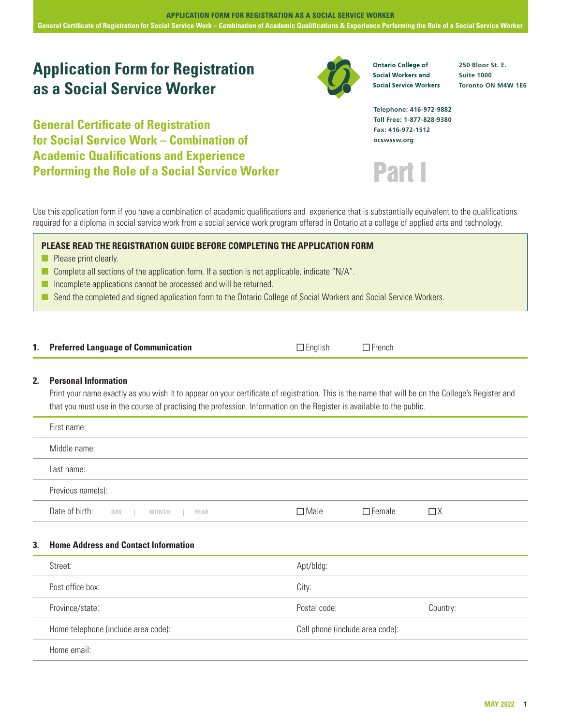# **Application Form for Registration as a Social Service Worker**

**General Certificate of Registration for Social Service Work – Combination of Academic Qualifications and Experience Performing the Role of a Social Service Worker**

**Ontario College of Social Workers and Social Service Workers**  **250 Bloor St. E. Suite 1000 Toronto ON M4W 1E6**

**Telephone: 416-972-9882 Toll Free: 1-877-828-9380 Fax: 416-972-1512 ocswssw.org**



Use this application form if you have a combination of academic qualifications and experience that is substantially equivalent to the qualifications required for a diploma in social service work from a social service work program offered in Ontario at a college of applied arts and technology.

# **PLEASE READ THE REGISTRATION GUIDE BEFORE COMPLETING THE APPLICATION FORM**

- **n** Please print clearly.
- Complete all sections of the application form. If a section is not applicable, indicate "N/A".
- $\blacksquare$  Incomplete applications cannot be processed and will be returned.
- n Send the completed and signed application form to the Ontario College of Social Workers and Social Service Workers.

| 1. Preferred Language of Communication | $\Box$ English | $\Box$ French |
|----------------------------------------|----------------|---------------|
|----------------------------------------|----------------|---------------|

# **2. Personal Information**

Print your name exactly as you wish it to appear on your certificate of registration. This is the name that will be on the College's Register and that you must use in the course of practising the profession. Information on the Register is available to the public.

| First name:                               |                |               |          |
|-------------------------------------------|----------------|---------------|----------|
| Middle name:                              |                |               |          |
| Last name:                                |                |               |          |
| Previous name(s):                         |                |               |          |
| Date of birth: DAY   MONTH<br>YEAR<br>a s | $\square$ Male | $\Box$ Female | $\Box$ X |

# **3. Home Address and Contact Information**

| Street:                             | Apt/bldg:                       |          |
|-------------------------------------|---------------------------------|----------|
| Post office box:                    | City:                           |          |
| Province/state:                     | Postal code:                    | Country: |
| Home telephone (include area code): | Cell phone (include area code): |          |
| Home email:                         |                                 |          |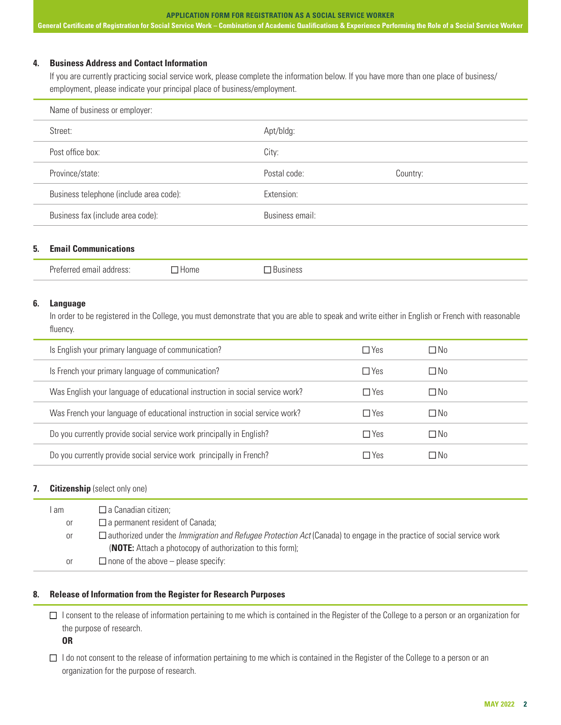#### **APPLICATION FORM FOR REGISTRATION AS A SOCIAL SERVICE WORKER**

**General Certificate of Registration for Social Service Work – Combination of Academic Qualifications & Experience Performing the Role of a Social Service Worker**

#### **4. Business Address and Contact Information**

If you are currently practicing social service work, please complete the information below. If you have more than one place of business/ employment, please indicate your principal place of business/employment.

| Name of business or employer:           |                 |          |  |  |
|-----------------------------------------|-----------------|----------|--|--|
| Street:                                 | Apt/bldg:       |          |  |  |
| Post office box:                        | City:           |          |  |  |
| Province/state:                         | Postal code:    | Country: |  |  |
| Business telephone (include area code): | Extension:      |          |  |  |
| Business fax (include area code):       | Business email: |          |  |  |

#### **5. Email Communications**

#### **6. Language**

In order to be registered in the College, you must demonstrate that you are able to speak and write either in English or French with reasonable fluency.

| Is English your primary language of communication?                           | $\Box$ Yes | $\Box$ No |  |
|------------------------------------------------------------------------------|------------|-----------|--|
| Is French your primary language of communication?                            | $\Box$ Yes | $\Box$ No |  |
| Was English your language of educational instruction in social service work? | $\Box$ Yes | $\Box$ No |  |
| Was French your language of educational instruction in social service work?  | $\Box$ Yes | $\Box$ No |  |
| Do you currently provide social service work principally in English?         | $\Box$ Yes | $\Box$ No |  |
| Do you currently provide social service work principally in French?          | $\Box$ Yes | ΠNo       |  |

#### **7. Citizenship** (select only one)

| I am | $\Box$ a Canadian citizen;                                                                                                          |
|------|-------------------------------------------------------------------------------------------------------------------------------------|
| 0r   | $\Box$ a permanent resident of Canada;                                                                                              |
| 0r   | $\Box$ authorized under the <i>Immigration and Refugee Protection Act</i> (Canada) to engage in the practice of social service work |
|      | <b>(NOTE:</b> Attach a photocopy of authorization to this form);                                                                    |
| 0r   | $\Box$ none of the above – please specify:                                                                                          |

# **8. Release of Information from the Register for Research Purposes**

 $\Box$  I consent to the release of information pertaining to me which is contained in the Register of the College to a person or an organization for the purpose of research.

**OR**

 $\Box$  I do not consent to the release of information pertaining to me which is contained in the Register of the College to a person or an organization for the purpose of research.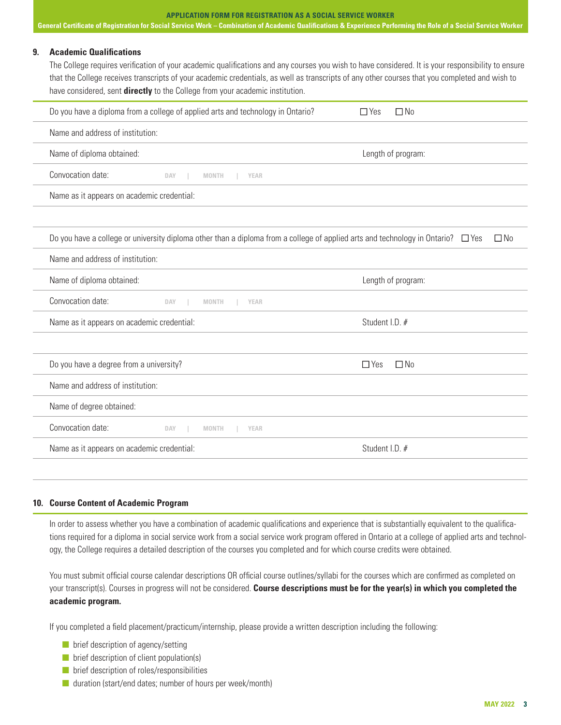#### **APPLICATION FORM FOR REGISTRATION AS A SOCIAL SERVICE WORKER**

**General Certificate of Registration for Social Service Work – Combination of Academic Qualifications & Experience Performing the Role of a Social Service Worker**

#### **9. Academic Qualifications**

The College requires verification of your academic qualifications and any courses you wish to have considered. It is your responsibility to ensure that the College receives transcripts of your academic credentials, as well as transcripts of any other courses that you completed and wish to have considered, sent **directly** to the College from your academic institution.

| Do you have a diploma from a college of applied arts and technology in Ontario?                                                       | $\Box$ Yes<br>$\Box$ No |
|---------------------------------------------------------------------------------------------------------------------------------------|-------------------------|
| Name and address of institution:                                                                                                      |                         |
| Name of diploma obtained:                                                                                                             | Length of program:      |
| Convocation date:<br>DAY<br>- 1<br>MONTH<br><b>YEAR</b>                                                                               |                         |
| Name as it appears on academic credential:                                                                                            |                         |
|                                                                                                                                       |                         |
| Do you have a college or university diploma other than a diploma from a college of applied arts and technology in Ontario? $\Box$ Yes | $\Box$ No               |
| Name and address of institution:                                                                                                      |                         |
| Name of diploma obtained:                                                                                                             | Length of program:      |
| Convocation date:<br>DAY<br><b>MONTH</b><br><b>YEAR</b>                                                                               |                         |
| Name as it appears on academic credential:                                                                                            | Student I.D. #          |
|                                                                                                                                       |                         |
| Do you have a degree from a university?                                                                                               | $\Box$ Yes<br>$\Box$ No |
| Name and address of institution:                                                                                                      |                         |
| Name of degree obtained:                                                                                                              |                         |
| Convocation date:<br>DAY<br>MONTH<br><b>YEAR</b>                                                                                      |                         |
| Name as it appears on academic credential:                                                                                            | Student I.D. #          |
|                                                                                                                                       |                         |

# **10. Course Content of Academic Program**

In order to assess whether you have a combination of academic qualifications and experience that is substantially equivalent to the qualifications required for a diploma in social service work from a social service work program offered in Ontario at a college of applied arts and technology, the College requires a detailed description of the courses you completed and for which course credits were obtained.

You must submit official course calendar descriptions OR official course outlines/syllabi for the courses which are confirmed as completed on your transcript(s). Courses in progress will not be considered. **Course descriptions must be for the year(s) in which you completed the academic program.**

If you completed a field placement/practicum/internship, please provide a written description including the following:

- $\blacksquare$  brief description of agency/setting
- $\blacksquare$  brief description of client population(s)
- $\blacksquare$  brief description of roles/responsibilities
- $\blacksquare$  duration (start/end dates; number of hours per week/month)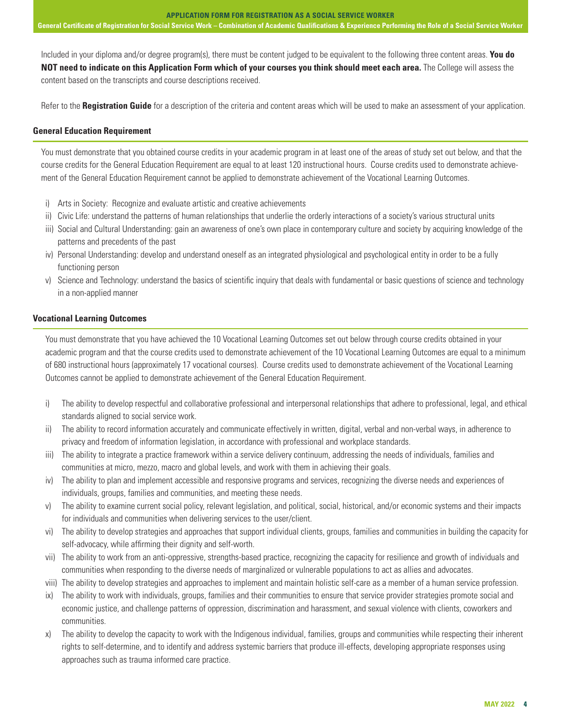**General Certificate of Registration for Social Service Work – Combination of Academic Qualifications & Experience Performing the Role of a Social Service Worker**

Included in your diploma and/or degree program(s), there must be content judged to be equivalent to the following three content areas. **You do NOT need to indicate on this Application Form which of your courses you think should meet each area.** The College will assess the content based on the transcripts and course descriptions received.

Refer to the **Registration Guide** for a description of the criteria and content areas which will be used to make an assessment of your application.

#### **General Education Requirement**

You must demonstrate that you obtained course credits in your academic program in at least one of the areas of study set out below, and that the course credits for the General Education Requirement are equal to at least 120 instructional hours. Course credits used to demonstrate achievement of the General Education Requirement cannot be applied to demonstrate achievement of the Vocational Learning Outcomes.

- i) Arts in Society: Recognize and evaluate artistic and creative achievements
- ii) Civic Life: understand the patterns of human relationships that underlie the orderly interactions of a society's various structural units
- iii) Social and Cultural Understanding: gain an awareness of one's own place in contemporary culture and society by acquiring knowledge of the patterns and precedents of the past
- iv) Personal Understanding: develop and understand oneself as an integrated physiological and psychological entity in order to be a fully functioning person
- v) Science and Technology: understand the basics of scientific inquiry that deals with fundamental or basic questions of science and technology in a non-applied manner

#### **Vocational Learning Outcomes**

You must demonstrate that you have achieved the 10 Vocational Learning Outcomes set out below through course credits obtained in your academic program and that the course credits used to demonstrate achievement of the 10 Vocational Learning Outcomes are equal to a minimum of 680 instructional hours (approximately 17 vocational courses). Course credits used to demonstrate achievement of the Vocational Learning Outcomes cannot be applied to demonstrate achievement of the General Education Requirement.

- i) The ability to develop respectful and collaborative professional and interpersonal relationships that adhere to professional, legal, and ethical standards aligned to social service work.
- ii) The ability to record information accurately and communicate effectively in written, digital, verbal and non-verbal ways, in adherence to privacy and freedom of information legislation, in accordance with professional and workplace standards.
- iii) The ability to integrate a practice framework within a service delivery continuum, addressing the needs of individuals, families and communities at micro, mezzo, macro and global levels, and work with them in achieving their goals.
- iv) The ability to plan and implement accessible and responsive programs and services, recognizing the diverse needs and experiences of individuals, groups, families and communities, and meeting these needs.
- v) The ability to examine current social policy, relevant legislation, and political, social, historical, and/or economic systems and their impacts for individuals and communities when delivering services to the user/client.
- vi) The ability to develop strategies and approaches that support individual clients, groups, families and communities in building the capacity for self-advocacy, while affirming their dignity and self-worth.
- vii) The ability to work from an anti-oppressive, strengths-based practice, recognizing the capacity for resilience and growth of individuals and communities when responding to the diverse needs of marginalized or vulnerable populations to act as allies and advocates.
- viii) The ability to develop strategies and approaches to implement and maintain holistic self-care as a member of a human service profession.
- ix) The ability to work with individuals, groups, families and their communities to ensure that service provider strategies promote social and economic justice, and challenge patterns of oppression, discrimination and harassment, and sexual violence with clients, coworkers and communities.
- x) The ability to develop the capacity to work with the Indigenous individual, families, groups and communities while respecting their inherent rights to self-determine, and to identify and address systemic barriers that produce ill-effects, developing appropriate responses using approaches such as trauma informed care practice.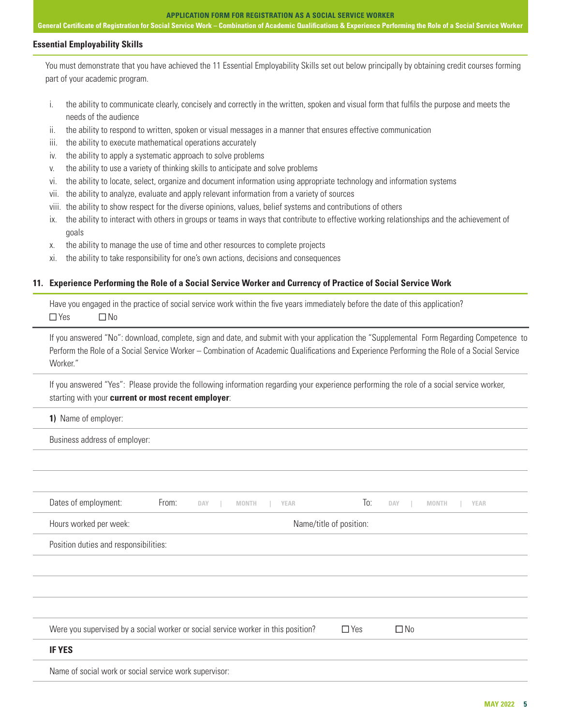**General Certificate of Registration for Social Service Work – Combination of Academic Qualifications & Experience Performing the Role of a Social Service Worker**

#### **Essential Employability Skills**

You must demonstrate that you have achieved the 11 Essential Employability Skills set out below principally by obtaining credit courses forming part of your academic program.

- i. the ability to communicate clearly, concisely and correctly in the written, spoken and visual form that fulfils the purpose and meets the needs of the audience
- ii. the ability to respond to written, spoken or visual messages in a manner that ensures effective communication
- iii. the ability to execute mathematical operations accurately
- iv. the ability to apply a systematic approach to solve problems
- v. the ability to use a variety of thinking skills to anticipate and solve problems
- vi. the ability to locate, select, organize and document information using appropriate technology and information systems
- vii. the ability to analyze, evaluate and apply relevant information from a variety of sources
- viii. the ability to show respect for the diverse opinions, values, belief systems and contributions of others
- ix. the ability to interact with others in groups or teams in ways that contribute to effective working relationships and the achievement of goals
- x. the ability to manage the use of time and other resources to complete projects
- xi. the ability to take responsibility for one's own actions, decisions and consequences

# **11. Experience Performing the Role of a Social Service Worker and Currency of Practice of Social Service Work**

Have you engaged in the practice of social service work within the five years immediately before the date of this application?  $\Box$  Yes  $\Box$  No

If you answered "No": download, complete, sign and date, and submit with your application the "Supplemental Form Regarding Competence to Perform the Role of a Social Service Worker – Combination of Academic Qualifications and Experience Performing the Role of a Social Service Worker."

If you answered "Yes": Please provide the following information regarding your experience performing the role of a social service worker, starting with your **current or most recent employer**:

**1)** Name of employer:

Business address of employer:

| Dates of employment:                                                              | From: | DAY | <b>MONTH</b> | <b>YEAR</b> | To:                     | DAY       | <b>MONTH</b> | <b>YEAR</b> |  |
|-----------------------------------------------------------------------------------|-------|-----|--------------|-------------|-------------------------|-----------|--------------|-------------|--|
| Hours worked per week:                                                            |       |     |              |             | Name/title of position: |           |              |             |  |
| Position duties and responsibilities:                                             |       |     |              |             |                         |           |              |             |  |
|                                                                                   |       |     |              |             |                         |           |              |             |  |
|                                                                                   |       |     |              |             |                         |           |              |             |  |
|                                                                                   |       |     |              |             |                         |           |              |             |  |
| Were you supervised by a social worker or social service worker in this position? |       |     |              |             | $\Box$ Yes              | $\Box$ No |              |             |  |
| <b>IF YES</b>                                                                     |       |     |              |             |                         |           |              |             |  |
| Name of social work or social service work supervisor:                            |       |     |              |             |                         |           |              |             |  |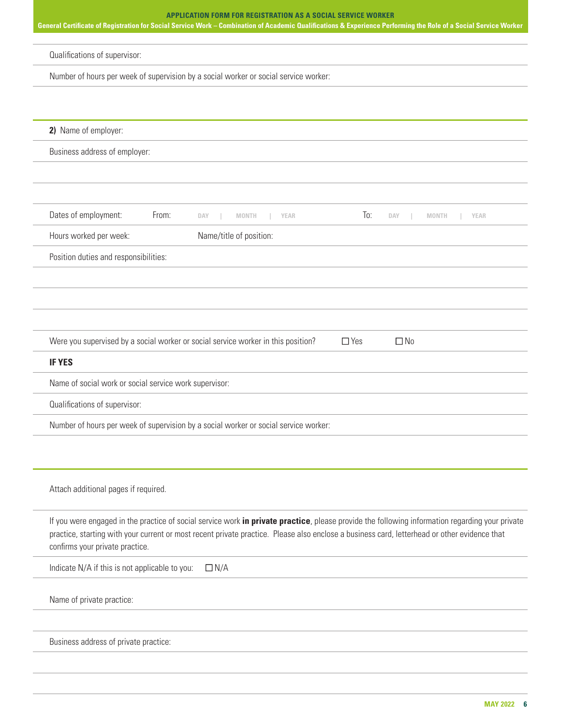# **APPLICATION FORM FOR REGISTRATION AS A SOCIAL SERVICE WORKER General Certificate of Registration for Social Service Work – Combination of Academic Qualifications & Experience Performing the Role of a Social Service Worker** Qualifications of supervisor: Number of hours per week of supervision by a social worker or social service worker: **2)** Name of employer: Business address of employer: Dates of employment: From: **DAY | MONTH | YEAR** To: **DAY | MONTH | YEAR** Hours worked per week: Name/title of position: Position duties and responsibilities: Were you supervised by a social worker or social service worker in this position?  $\Box$  Yes  $\Box$  No **IF YES** Name of social work or social service work supervisor: Qualifications of supervisor: Number of hours per week of supervision by a social worker or social service worker: Attach additional pages if required. If you were engaged in the practice of social service work **in private practice**, please provide the following information regarding your private practice, starting with your current or most recent private practice. Please also enclose a business card, letterhead or other evidence that confirms your private practice. Indicate N/A if this is not applicable to you:  $\square N/A$ Name of private practice:

Business address of private practice: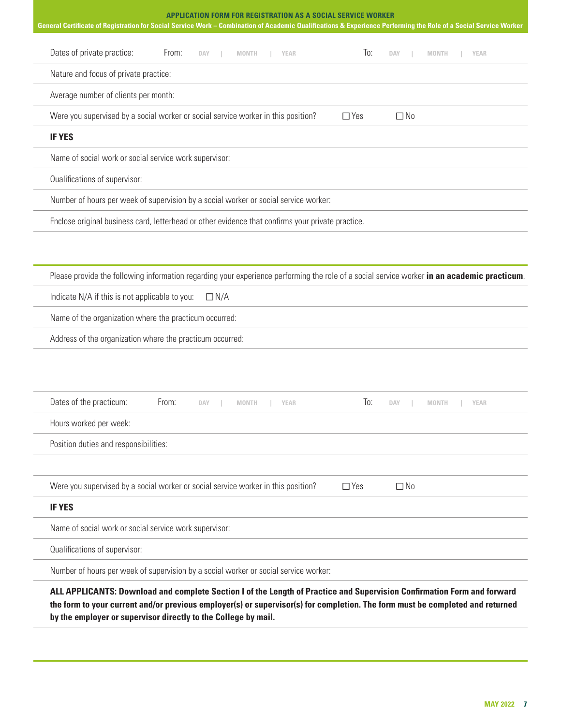| <b>APPLICATION FORM FOR REGISTRATION AS A SOCIAL SERVICE WORKER</b><br>General Certificate of Registration for Social Service Work - Combination of Academic Qualifications & Experience Performing the Role of a Social Service Worker                                                                                    |
|----------------------------------------------------------------------------------------------------------------------------------------------------------------------------------------------------------------------------------------------------------------------------------------------------------------------------|
| Dates of private practice:<br>From:<br>To:<br><b>DAY</b><br><b>MONTH</b><br><b>YEAR</b><br><b>DAY</b><br><b>MONTH</b><br><b>YEAR</b>                                                                                                                                                                                       |
| Nature and focus of private practice:                                                                                                                                                                                                                                                                                      |
| Average number of clients per month:                                                                                                                                                                                                                                                                                       |
| Were you supervised by a social worker or social service worker in this position?<br>$\Box$ No<br>$\Box$ Yes                                                                                                                                                                                                               |
| <b>IF YES</b>                                                                                                                                                                                                                                                                                                              |
| Name of social work or social service work supervisor:                                                                                                                                                                                                                                                                     |
| Qualifications of supervisor:                                                                                                                                                                                                                                                                                              |
| Number of hours per week of supervision by a social worker or social service worker:                                                                                                                                                                                                                                       |
| Enclose original business card, letterhead or other evidence that confirms your private practice.                                                                                                                                                                                                                          |
|                                                                                                                                                                                                                                                                                                                            |
|                                                                                                                                                                                                                                                                                                                            |
| Please provide the following information regarding your experience performing the role of a social service worker in an academic practicum.                                                                                                                                                                                |
| Indicate N/A if this is not applicable to you:<br>$\Box N/A$                                                                                                                                                                                                                                                               |
| Name of the organization where the practicum occurred:                                                                                                                                                                                                                                                                     |
| Address of the organization where the practicum occurred:                                                                                                                                                                                                                                                                  |
|                                                                                                                                                                                                                                                                                                                            |
|                                                                                                                                                                                                                                                                                                                            |
| Dates of the practicum:<br>From:<br>To:<br><b>DAY</b><br><b>MONTH</b><br><b>YEAR</b><br><b>DAY</b><br><b>YEAR</b><br>MONTH                                                                                                                                                                                                 |
| Hours worked per week:                                                                                                                                                                                                                                                                                                     |
| Position duties and responsibilities:                                                                                                                                                                                                                                                                                      |
|                                                                                                                                                                                                                                                                                                                            |
| Were you supervised by a social worker or social service worker in this position?<br>$\Box$ Yes<br>$\Box$ No                                                                                                                                                                                                               |
| <b>IF YES</b>                                                                                                                                                                                                                                                                                                              |
| Name of social work or social service work supervisor:                                                                                                                                                                                                                                                                     |
| Qualifications of supervisor:                                                                                                                                                                                                                                                                                              |
| Number of hours per week of supervision by a social worker or social service worker:                                                                                                                                                                                                                                       |
| ALL APPLICANTS: Download and complete Section I of the Length of Practice and Supervision Confirmation Form and forward<br>the form to your current and/or previous employer(s) or supervisor(s) for completion. The form must be completed and returned<br>by the employer or supervisor directly to the College by mail. |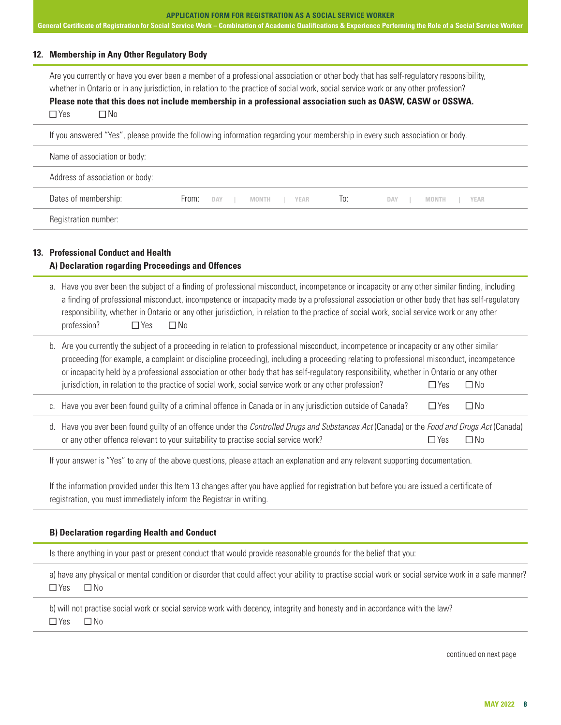**APPLICATION FORM FOR REGISTRATION AS A SOCIAL SERVICE WORKER General Certificate of Registration for Social Service Work – Combination of Academic Qualifications & Experience Performing the Role of a Social Service Worker**

# **12. Membership in Any Other Regulatory Body**

Are you currently or have you ever been a member of a professional association or other body that has self-regulatory responsibility, whether in Ontario or in any jurisdiction, in relation to the practice of social work, social service work or any other profession? **Please note that this does not include membership in a professional association such as OASW, CASW or OSSWA.**   $\Box$  Yes  $\Box$  No

| If you answered "Yes", please provide the following information regarding your membership in every such association or body. |                                                                                           |  |  |  |
|------------------------------------------------------------------------------------------------------------------------------|-------------------------------------------------------------------------------------------|--|--|--|
| Name of association or body:                                                                                                 |                                                                                           |  |  |  |
| Address of association or body:                                                                                              |                                                                                           |  |  |  |
| Dates of membership:                                                                                                         | $\overline{10}$ :<br>From:<br>DAY<br>I MONTH I YEAR<br>MONTH<br><b>YEAR</b><br><b>DAY</b> |  |  |  |
| Registration number:                                                                                                         |                                                                                           |  |  |  |

# **13. Professional Conduct and Health A) Declaration regarding Proceedings and Offences**

a. Have you ever been the subject of a finding of professional misconduct, incompetence or incapacity or any other similar finding, including a finding of professional misconduct, incompetence or incapacity made by a professional association or other body that has self-regulatory responsibility, whether in Ontario or any other jurisdiction, in relation to the practice of social work, social service work or any other profession?  $\Box$  Yes  $\Box$  No

| b. Are you currently the subject of a proceeding in relation to professional misconduct, incompetence or incapacity or any other similar |       |     |  |  |
|------------------------------------------------------------------------------------------------------------------------------------------|-------|-----|--|--|
| proceeding (for example, a complaint or discipline proceeding), including a proceeding relating to professional misconduct, incompetence |       |     |  |  |
| or incapacity held by a professional association or other body that has self-regulatory responsibility, whether in Ontario or any other  |       |     |  |  |
| jurisdiction, in relation to the practice of social work, social service work or any other profession?                                   | ⊟ Yes | ΠN∩ |  |  |
|                                                                                                                                          |       |     |  |  |

- c. Have you ever been found guilty of a criminal offence in Canada or in any jurisdiction outside of Canada?  $\square$  Yes  $\square$  No
- d. Have you ever been found guilty of an offence under the *Controlled Drugs and Substances Act* (Canada) or the *Food and Drugs Act* (Canada) or any other offence relevant to your suitability to practise social service work?  $\square$  Yes  $\square$  No

If your answer is "Yes" to any of the above questions, please attach an explanation and any relevant supporting documentation.

If the information provided under this Item 13 changes after you have applied for registration but before you are issued a certificate of registration, you must immediately inform the Registrar in writing.

# **B) Declaration regarding Health and Conduct**

Is there anything in your past or present conduct that would provide reasonable grounds for the belief that you:

a) have any physical or mental condition or disorder that could affect your ability to practise social work or social service work in a safe manner?  $\Box$  Yes  $\Box$  No

b) will not practise social work or social service work with decency, integrity and honesty and in accordance with the law?  $\Box$  Yes  $\Box$  No

continued on next page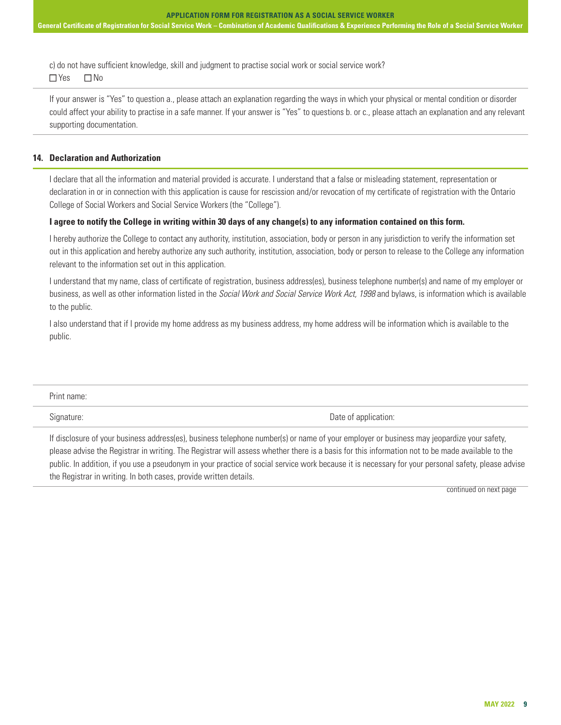c) do not have sufficient knowledge, skill and judgment to practise social work or social service work?  $\Box$  Yes  $\Box$  No

If your answer is "Yes" to question a., please attach an explanation regarding the ways in which your physical or mental condition or disorder could affect your ability to practise in a safe manner. If your answer is "Yes" to questions b. or c., please attach an explanation and any relevant supporting documentation.

#### **14. Declaration and Authorization**

I declare that all the information and material provided is accurate. I understand that a false or misleading statement, representation or declaration in or in connection with this application is cause for rescission and/or revocation of my certificate of registration with the Ontario College of Social Workers and Social Service Workers (the "College").

#### **I agree to notify the College in writing within 30 days of any change(s) to any information contained on this form.**

I hereby authorize the College to contact any authority, institution, association, body or person in any jurisdiction to verify the information set out in this application and hereby authorize any such authority, institution, association, body or person to release to the College any information relevant to the information set out in this application.

I understand that my name, class of certificate of registration, business address(es), business telephone number(s) and name of my employer or business, as well as other information listed in the *Social Work and Social Service Work Act, 1998* and bylaws, is information which is available to the public.

I also understand that if I provide my home address as my business address, my home address will be information which is available to the public.

| 11 L L L L L L |  |
|----------------|--|
|----------------|--|

Signature: Date of application: Date of application:

If disclosure of your business address(es), business telephone number(s) or name of your employer or business may jeopardize your safety, please advise the Registrar in writing. The Registrar will assess whether there is a basis for this information not to be made available to the public. In addition, if you use a pseudonym in your practice of social service work because it is necessary for your personal safety, please advise the Registrar in writing. In both cases, provide written details.

continued on next page